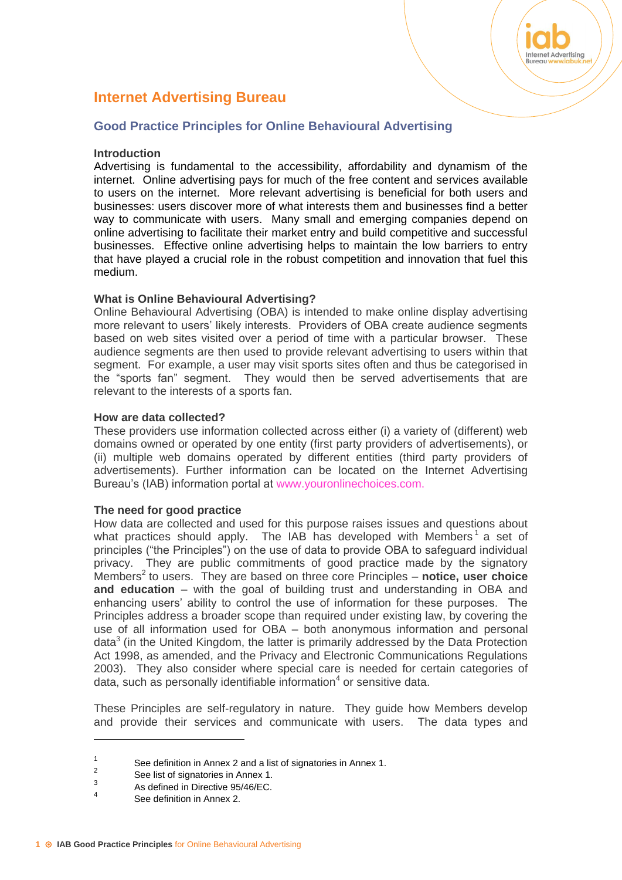# **Internet Advertising Bureau**

# **Good Practice Principles for Online Behavioural Advertising**

#### **Introduction**

Advertising is fundamental to the accessibility, affordability and dynamism of the internet. Online advertising pays for much of the free content and services available to users on the internet. More relevant advertising is beneficial for both users and businesses: users discover more of what interests them and businesses find a better way to communicate with users. Many small and emerging companies depend on online advertising to facilitate their market entry and build competitive and successful businesses. Effective online advertising helps to maintain the low barriers to entry that have played a crucial role in the robust competition and innovation that fuel this medium.

Internet Advertising

## **What is Online Behavioural Advertising?**

Online Behavioural Advertising (OBA) is intended to make online display advertising more relevant to users' likely interests. Providers of OBA create audience segments based on web sites visited over a period of time with a particular browser. These audience segments are then used to provide relevant advertising to users within that segment. For example, a user may visit sports sites often and thus be categorised in the "sports fan" segment. They would then be served advertisements that are relevant to the interests of a sports fan.

## **How are data collected?**

These providers use information collected across either (i) a variety of (different) web domains owned or operated by one entity (first party providers of advertisements), or (ii) multiple web domains operated by different entities (third party providers of advertisements). Further information can be located on the Internet Advertising Bureau's (IAB) information portal at www.youronlinechoices.com.

#### **The need for good practice**

How data are collected and used for this purpose raises issues and questions about what practices should apply. The IAB has developed with Members<sup>1</sup> a set of principles ("the Principles") on the use of data to provide OBA to safeguard individual privacy. They are public commitments of good practice made by the signatory Members<sup>2</sup> to users. They are based on three core Principles - notice, user choice **and education** – with the goal of building trust and understanding in OBA and enhancing users' ability to control the use of information for these purposes. The Principles address a broader scope than required under existing law, by covering the use of all information used for OBA – both anonymous information and personal data<sup>3</sup> (in the United Kingdom, the latter is primarily addressed by the Data Protection Act 1998, as amended, and the Privacy and Electronic Communications Regulations 2003). They also consider where special care is needed for certain categories of data, such as personally identifiable information $4$  or sensitive data.

These Principles are self-regulatory in nature. They guide how Members develop and provide their services and communicate with users. The data types and

<sup>1</sup> See definition in Annex 2 and a list of signatories in Annex 1.  $\overline{2}$ 

See list of signatories in Annex 1.

<sup>3</sup> As defined in Directive 95/46/EC. 4

See definition in Annex 2.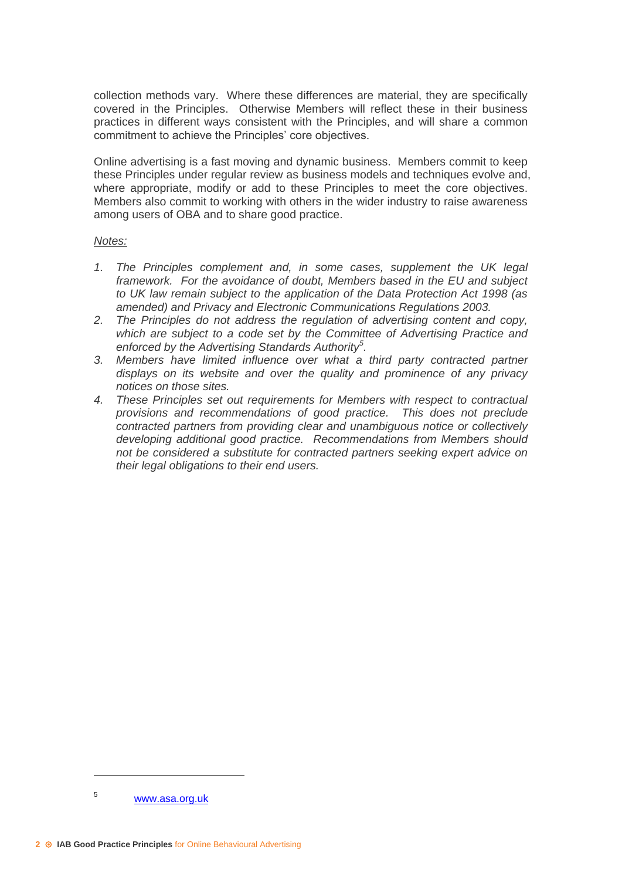collection methods vary. Where these differences are material, they are specifically covered in the Principles. Otherwise Members will reflect these in their business practices in different ways consistent with the Principles, and will share a common commitment to achieve the Principles' core objectives.

Online advertising is a fast moving and dynamic business. Members commit to keep these Principles under regular review as business models and techniques evolve and, where appropriate, modify or add to these Principles to meet the core objectives. Members also commit to working with others in the wider industry to raise awareness among users of OBA and to share good practice.

#### *Notes:*

- *1. The Principles complement and, in some cases, supplement the UK legal framework. For the avoidance of doubt, Members based in the EU and subject to UK law remain subject to the application of the Data Protection Act 1998 (as amended) and Privacy and Electronic Communications Regulations 2003.*
- *2. The Principles do not address the regulation of advertising content and copy, which are subject to a code set by the Committee of Advertising Practice and enforced by the Advertising Standards Authority<sup>5</sup> .*
- *3. Members have limited influence over what a third party contracted partner displays on its website and over the quality and prominence of any privacy notices on those sites.*
- *4. These Principles set out requirements for Members with respect to contractual provisions and recommendations of good practice. This does not preclude contracted partners from providing clear and unambiguous notice or collectively developing additional good practice. Recommendations from Members should not be considered a substitute for contracted partners seeking expert advice on their legal obligations to their end users.*

<sup>5</sup> [www.asa.org.uk](http://www.asa.org.uk/)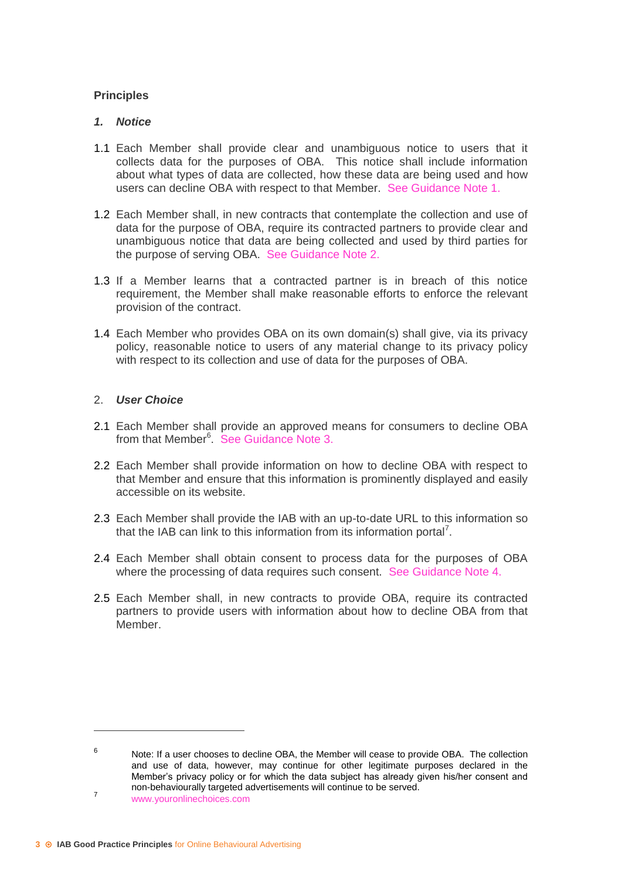# **Principles**

## *1. Notice*

- 1.1 Each Member shall provide clear and unambiguous notice to users that it collects data for the purposes of OBA. This notice shall include information about what types of data are collected, how these data are being used and how users can decline OBA with respect to that Member. See Guidance Note 1.
- 1.2 Each Member shall, in new contracts that contemplate the collection and use of data for the purpose of OBA, require its contracted partners to provide clear and unambiguous notice that data are being collected and used by third parties for the purpose of serving OBA. See Guidance Note 2.
- 1.3 If a Member learns that a contracted partner is in breach of this notice requirement, the Member shall make reasonable efforts to enforce the relevant provision of the contract.
- 1.4 Each Member who provides OBA on its own domain(s) shall give, via its privacy policy, reasonable notice to users of any material change to its privacy policy with respect to its collection and use of data for the purposes of OBA.

## 2. *User Choice*

- 2.1 Each Member shall provide an approved means for consumers to decline OBA from that Member<sup>6</sup>. See Guidance Note 3.
- 2.2 Each Member shall provide information on how to decline OBA with respect to that Member and ensure that this information is prominently displayed and easily accessible on its website.
- 2.3 Each Member shall provide the IAB with an up-to-date URL to this information so that the IAB can link to this information from its information portal<sup>7</sup>.
- 2.4 Each Member shall obtain consent to process data for the purposes of OBA where the processing of data requires such consent. See Guidance Note 4.
- 2.5 Each Member shall, in new contracts to provide OBA, require its contracted partners to provide users with information about how to decline OBA from that Member.

<sup>6</sup> Note: If a user chooses to decline OBA, the Member will cease to provide OBA. The collection and use of data, however, may continue for other legitimate purposes declared in the Member's privacy policy or for which the data subject has already given his/her consent and non-behaviourally targeted advertisements will continue to be served. 7

www.youronlinechoices.com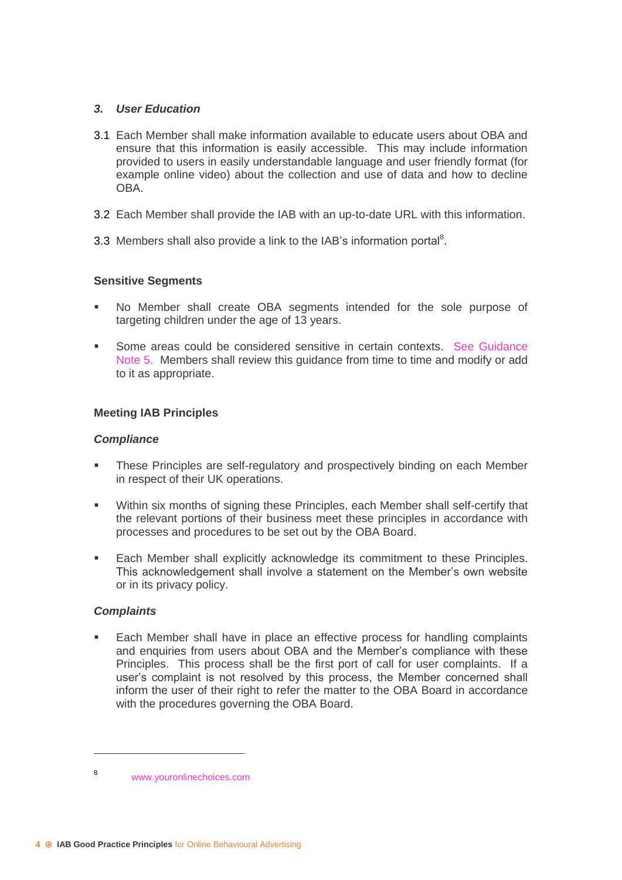# *3. User Education*

- 3.1 Each Member shall make information available to educate users about OBA and ensure that this information is easily accessible. This may include information provided to users in easily understandable language and user friendly format (for example online video) about the collection and use of data and how to decline OBA.
- 3.2 Each Member shall provide the IAB with an up-to-date URL with this information.
- 3.3 Members shall also provide a link to the IAB's information portal<sup>8</sup>.

## **Sensitive Segments**

- No Member shall create OBA segments intended for the sole purpose of targeting children under the age of 13 years.
- **Some areas could be considered sensitive in certain contexts. See Guidance** Note 5. Members shall review this guidance from time to time and modify or add to it as appropriate.

## **Meeting IAB Principles**

#### *Compliance*

- These Principles are self-regulatory and prospectively binding on each Member in respect of their UK operations.
- Within six months of signing these Principles, each Member shall self-certify that the relevant portions of their business meet these principles in accordance with processes and procedures to be set out by the OBA Board.
- **Each Member shall explicitly acknowledge its commitment to these Principles.** This acknowledgement shall involve a statement on the Member's own website or in its privacy policy.

#### *Complaints*

 $\overline{a}$ 

 Each Member shall have in place an effective process for handling complaints and enquiries from users about OBA and the Member's compliance with these Principles. This process shall be the first port of call for user complaints. If a user's complaint is not resolved by this process, the Member concerned shall inform the user of their right to refer the matter to the OBA Board in accordance with the procedures governing the OBA Board.

<sup>8</sup> www.youronlinechoices.com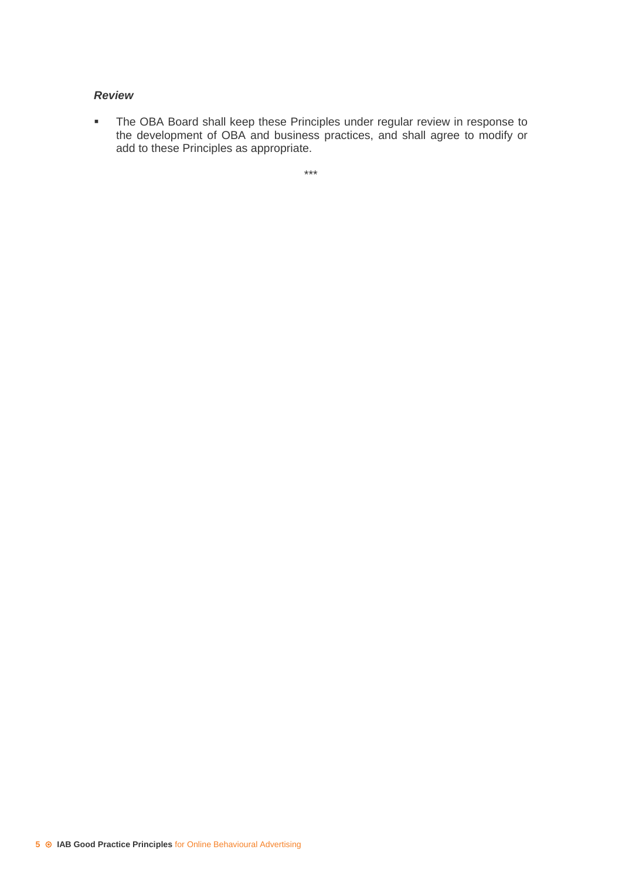## *Review*

**The OBA Board shall keep these Principles under regular review in response to** the development of OBA and business practices, and shall agree to modify or add to these Principles as appropriate.

\*\*\*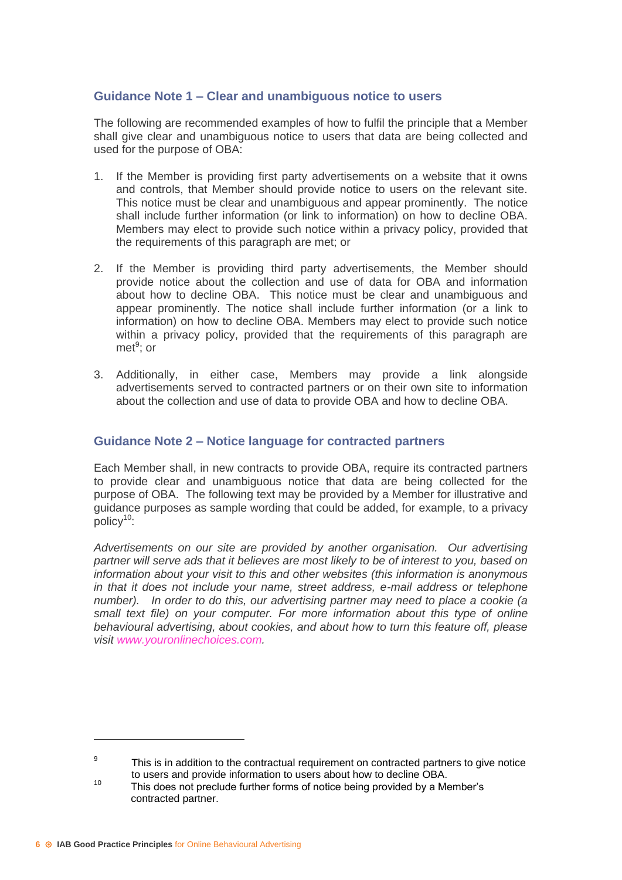# **Guidance Note 1 – Clear and unambiguous notice to users**

The following are recommended examples of how to fulfil the principle that a Member shall give clear and unambiguous notice to users that data are being collected and used for the purpose of OBA:

- 1. If the Member is providing first party advertisements on a website that it owns and controls, that Member should provide notice to users on the relevant site. This notice must be clear and unambiguous and appear prominently. The notice shall include further information (or link to information) on how to decline OBA. Members may elect to provide such notice within a privacy policy, provided that the requirements of this paragraph are met; or
- 2. If the Member is providing third party advertisements, the Member should provide notice about the collection and use of data for OBA and information about how to decline OBA. This notice must be clear and unambiguous and appear prominently. The notice shall include further information (or a link to information) on how to decline OBA. Members may elect to provide such notice within a privacy policy, provided that the requirements of this paragraph are met<sup>9</sup>; or
- 3. Additionally, in either case, Members may provide a link alongside advertisements served to contracted partners or on their own site to information about the collection and use of data to provide OBA and how to decline OBA.

## **Guidance Note 2 – Notice language for contracted partners**

Each Member shall, in new contracts to provide OBA, require its contracted partners to provide clear and unambiguous notice that data are being collected for the purpose of OBA. The following text may be provided by a Member for illustrative and guidance purposes as sample wording that could be added, for example, to a privacy  $\overline{p}$ olicy<sup>10</sup>:

*Advertisements on our site are provided by another organisation. Our advertising partner will serve ads that it believes are most likely to be of interest to you, based on information about your visit to this and other websites (this information is anonymous in that it does not include your name, street address, e-mail address or telephone number). In order to do this, our advertising partner may need to place a cookie (a small text file) on your computer. For more information about this type of online behavioural advertising, about cookies, and about how to turn this feature off, please visit www.youronlinechoices.com.*

 $\alpha$ This is in addition to the contractual requirement on contracted partners to give notice to users and provide information to users about how to decline OBA.

<sup>&</sup>lt;sup>10</sup> This does not preclude further forms of notice being provided by a Member's contracted partner.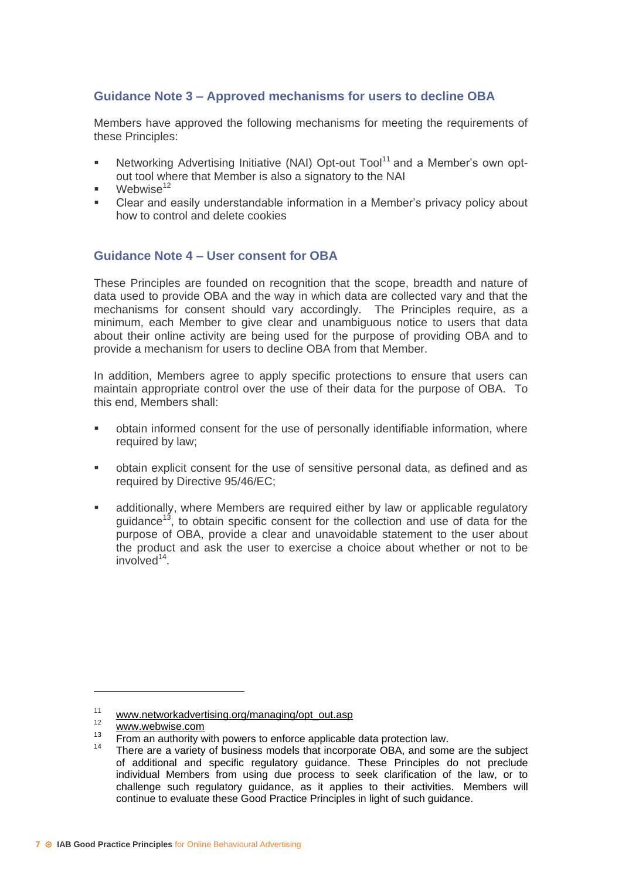# **Guidance Note 3 – Approved mechanisms for users to decline OBA**

Members have approved the following mechanisms for meeting the requirements of these Principles:

- Networking Advertising Initiative (NAI) Opt-out Tool<sup>11</sup> and a Member's own optout tool where that Member is also a signatory to the NAI
- Webwise $12$
- Clear and easily understandable information in a Member's privacy policy about how to control and delete cookies

## **Guidance Note 4 – User consent for OBA**

These Principles are founded on recognition that the scope, breadth and nature of data used to provide OBA and the way in which data are collected vary and that the mechanisms for consent should vary accordingly. The Principles require, as a minimum, each Member to give clear and unambiguous notice to users that data about their online activity are being used for the purpose of providing OBA and to provide a mechanism for users to decline OBA from that Member.

In addition, Members agree to apply specific protections to ensure that users can maintain appropriate control over the use of their data for the purpose of OBA. To this end, Members shall:

- obtain informed consent for the use of personally identifiable information, where required by law;
- obtain explicit consent for the use of sensitive personal data, as defined and as required by Directive 95/46/EC;
- additionally, where Members are required either by law or applicable regulatory guidance<sup>13</sup>, to obtain specific consent for the collection and use of data for the purpose of OBA, provide a clear and unavoidable statement to the user about the product and ask the user to exercise a choice about whether or not to be involved<sup>14</sup>.

<sup>11</sup> [www.networkadvertising.org/managing/opt\\_out.asp](http://www.networkadvertising.org/managing/opt_out.asp)

 $\frac{12}{13}$  [www.webwise.com](http://www.webwise.com/)

<sup>&</sup>lt;sup>13</sup> From an authority with powers to enforce applicable data protection law.

There are a variety of business models that incorporate OBA, and some are the subject of additional and specific regulatory guidance. These Principles do not preclude individual Members from using due process to seek clarification of the law, or to challenge such regulatory guidance, as it applies to their activities. Members will continue to evaluate these Good Practice Principles in light of such guidance.